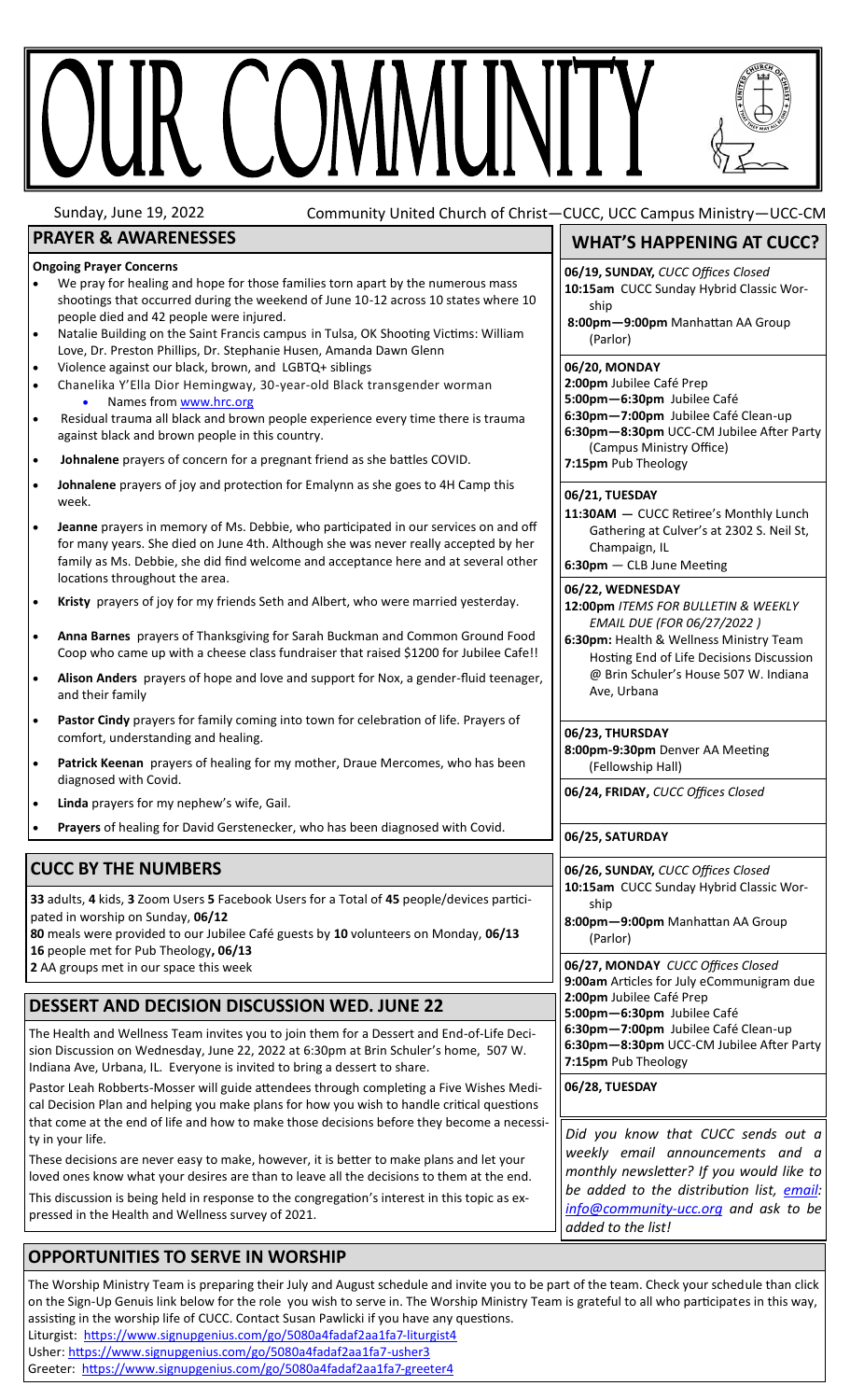# R COMMUN

Sunday, June 19, 2022 Community United Church of Christ—CUCC, UCC Campus Ministry—UCC-CM

# **PRAYER & AWARENESSES**

#### **Ongoing Prayer Concerns**

- We pray for healing and hope for those families torn apart by the numerous mass shootings that occurred during the weekend of June 10-12 across 10 states where 10 people died and 42 people were injured.
- Natalie Building on the Saint Francis campus in Tulsa, OK Shooting Victims: William Love, Dr. Preston Phillips, Dr. Stephanie Husen, Amanda Dawn Glenn
- Violence against our black, brown, and LGBTQ+ siblings
- Chanelika Y'Ella Dior Hemingway, 30-year-old Black transgender worman Names from [www.hrc.org](https:/www.hrc.org)
- Residual trauma all black and brown people experience every time there is trauma against black and brown people in this country.
- **Johnalene** prayers of concern for a pregnant friend as she battles COVID.
- **Johnalene** prayers of joy and protection for Emalynn as she goes to 4H Camp this week.
- **Jeanne** prayers in memory of Ms. Debbie, who participated in our services on and off for many years. She died on June 4th. Although she was never really accepted by her family as Ms. Debbie, she did find welcome and acceptance here and at several other locations throughout the area.
- **Kristy** prayers of joy for my friends Seth and Albert, who were married yesterday.
- **Anna Barnes** prayers of Thanksgiving for Sarah Buckman and Common Ground Food Coop who came up with a cheese class fundraiser that raised \$1200 for Jubilee Cafe!!
- **Alison Anders** prayers of hope and love and support for Nox, a gender-fluid teenager, and their family
- **Pastor Cindy** prayers for family coming into town for celebration of life. Prayers of comfort, understanding and healing.
- Patrick Keenan prayers of healing for my mother, Draue Mercomes, who has been diagnosed with Covid.
- **Linda** prayers for my nephew's wife, Gail.
- **Prayers** of healing for David Gerstenecker, who has been diagnosed with Covid.

# **CUCC BY THE NUMBERS**

**33** adults, **4** kids, **3** Zoom Users **5** Facebook Users for a Total of **45** people/devices participated in worship on Sunday, **06/12** 

**80** meals were provided to our Jubilee Café guests by **10** volunteers on Monday, **06/13 16** people met for Pub Theology**, 06/13**

**2** AA groups met in our space this week

# **DESSERT AND DECISION DISCUSSION WED. JUNE 22**

The Health and Wellness Team invites you to join them for a Dessert and End-of-Life Decision Discussion on Wednesday, June 22, 2022 at 6:30pm at Brin Schuler's home, 507 W. Indiana Ave, Urbana, IL. Everyone is invited to bring a dessert to share.

Pastor Leah Robberts-Mosser will guide attendees through completing a Five Wishes Medical Decision Plan and helping you make plans for how you wish to handle critical questions that come at the end of life and how to make those decisions before they become a necessity in your life.

These decisions are never easy to make, however, it is better to make plans and let your loved ones know what your desires are than to leave all the decisions to them at the end.

This discussion is being held in response to the congregation's interest in this topic as expressed in the Health and Wellness survey of 2021.

# **OPPORTUNITIES TO SERVE IN WORSHIP**

The Worship Ministry Team is preparing their July and August schedule and invite you to be part of the team. Check your schedule than click on the Sign-Up Genuis link below for the role you wish to serve in. The Worship Ministry Team is grateful to all who participates in this way, assisting in the worship life of CUCC. Contact Susan Pawlicki if you have any questions. Liturgist: [https://www.signupgenius.com/go/5080a4fadaf2aa1fa7](https://www.signupgenius.com/go/5080a4fadaf2aa1fa7-liturgist4)-liturgist4 Usher: [https://www.signupgenius.com/go/5080a4fadaf2aa1fa7](https://www.signupgenius.com/go/5080a4fadaf2aa1fa7-usher3)-usher3

Greeter: [https://www.signupgenius.com/go/5080a4fadaf2aa1fa7](https://www.signupgenius.com/go/5080a4fadaf2aa1fa7-greeter4)-greeter4

# **WHAT'S HAPPENING AT CUCC?**

**06/19, SUNDAY,** *CUCC Offices Closed* **10:15am** CUCC Sunday Hybrid Classic Worship

**8:00pm—9:00pm** Manhattan AA Group (Parlor)

#### **06/20, MONDAY**

**2:00pm** Jubilee Café Prep **5:00pm—6:30pm** Jubilee Café **6:30pm—7:00pm** Jubilee Café Clean-up **6:30pm—8:30pm** UCC-CM Jubilee After Party (Campus Ministry Office) **7:15pm** Pub Theology

#### **06/21, TUESDAY**

**11:30AM —** CUCC Retiree's Monthly Lunch Gathering at Culver's at 2302 S. Neil St, Champaign, IL

**6:30pm** — CLB June Meeting

#### **06/22, WEDNESDAY**

**12:00pm** *ITEMS FOR BULLETIN & WEEKLY EMAIL DUE (FOR 06/27/2022 )*

**6:30pm:** Health & Wellness Ministry Team Hosting End of Life Decisions Discussion @ Brin Schuler's House 507 W. Indiana Ave, Urbana

#### **06/23, THURSDAY**

**8:00pm-9:30pm** Denver AA Meeting (Fellowship Hall)

**06/24, FRIDAY,** *CUCC Offices Closed*

**06/25, SATURDAY**

**06/26, SUNDAY,** *CUCC Offices Closed* **10:15am** CUCC Sunday Hybrid Classic Worship

**8:00pm—9:00pm** Manhattan AA Group (Parlor)

**06/27, MONDAY** *CUCC Offices Closed* **9:00am** Articles for July eCommunigram due **2:00pm** Jubilee Café Prep **5:00pm—6:30pm** Jubilee Café **6:30pm—7:00pm** Jubilee Café Clean-up **6:30pm—8:30pm** UCC-CM Jubilee After Party **7:15pm** Pub Theology

**06/28, TUESDAY**

*Did you know that CUCC sends out a weekly email announcements and a monthly newsletter? If you would like to be added to the distribution list, [email:](mailto:info@community-ucc.org)  [info@community](mailto:info@community-ucc.org)-ucc.org and ask to be added to the list!*